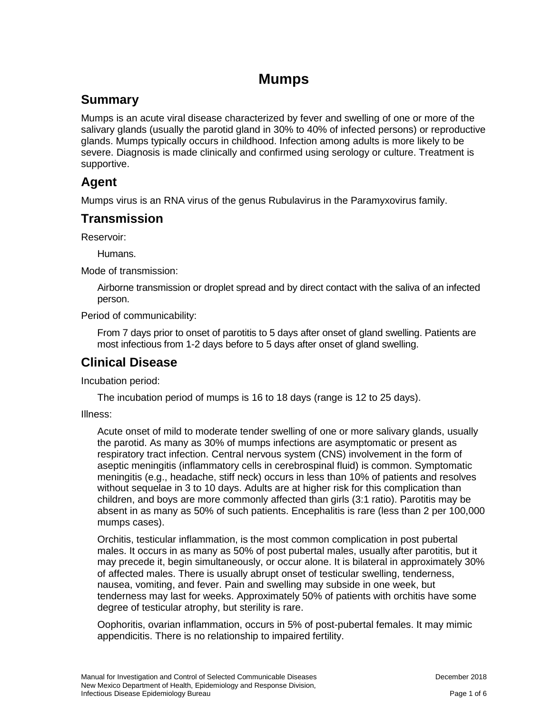# **Mumps**

## **Summary**

Mumps is an acute viral disease characterized by fever and swelling of one or more of the salivary glands (usually the parotid gland in 30% to 40% of infected persons) or reproductive glands. Mumps typically occurs in childhood. Infection among adults is more likely to be severe. Diagnosis is made clinically and confirmed using serology or culture. Treatment is supportive.

## **Agent**

Mumps virus is an RNA virus of the genus Rubulavirus in the Paramyxovirus family.

## **Transmission**

Reservoir:

Humans.

Mode of transmission:

Airborne transmission or droplet spread and by direct contact with the saliva of an infected person.

Period of communicability:

From 7 days prior to onset of parotitis to 5 days after onset of gland swelling. Patients are most infectious from 1-2 days before to 5 days after onset of gland swelling.

## **Clinical Disease**

Incubation period:

The incubation period of mumps is 16 to 18 days (range is 12 to 25 days).

Illness:

Acute onset of mild to moderate tender swelling of one or more salivary glands, usually the parotid. As many as 30% of mumps infections are asymptomatic or present as respiratory tract infection. Central nervous system (CNS) involvement in the form of aseptic meningitis (inflammatory cells in cerebrospinal fluid) is common. Symptomatic meningitis (e.g., headache, stiff neck) occurs in less than 10% of patients and resolves without sequelae in 3 to 10 days. Adults are at higher risk for this complication than children, and boys are more commonly affected than girls (3:1 ratio). Parotitis may be absent in as many as 50% of such patients. Encephalitis is rare (less than 2 per 100,000 mumps cases).

Orchitis, testicular inflammation, is the most common complication in post pubertal males. It occurs in as many as 50% of post pubertal males, usually after parotitis, but it may precede it, begin simultaneously, or occur alone. It is bilateral in approximately 30% of affected males. There is usually abrupt onset of testicular swelling, tenderness, nausea, vomiting, and fever. Pain and swelling may subside in one week, but tenderness may last for weeks. Approximately 50% of patients with orchitis have some degree of testicular atrophy, but sterility is rare.

Oophoritis, ovarian inflammation, occurs in 5% of post-pubertal females. It may mimic appendicitis. There is no relationship to impaired fertility.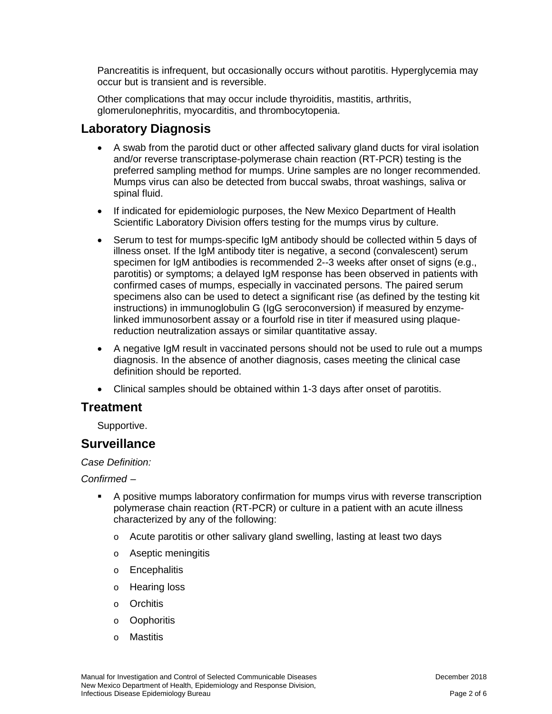Pancreatitis is infrequent, but occasionally occurs without parotitis. Hyperglycemia may occur but is transient and is reversible.

Other complications that may occur include thyroiditis, mastitis, arthritis, glomerulonephritis, myocarditis, and thrombocytopenia.

### **Laboratory Diagnosis**

- A swab from the parotid duct or other affected salivary gland ducts for viral isolation and/or reverse transcriptase-polymerase chain reaction (RT-PCR) testing is the preferred sampling method for mumps. Urine samples are no longer recommended. Mumps virus can also be detected from buccal swabs, throat washings, saliva or spinal fluid.
- If indicated for epidemiologic purposes, the New Mexico Department of Health Scientific Laboratory Division offers testing for the mumps virus by culture.
- Serum to test for mumps-specific IgM antibody should be collected within 5 days of illness onset. If the IgM antibody titer is negative, a second (convalescent) serum specimen for IgM antibodies is recommended 2--3 weeks after onset of signs (e.g., parotitis) or symptoms; a delayed IgM response has been observed in patients with confirmed cases of mumps, especially in vaccinated persons. The paired serum specimens also can be used to detect a significant rise (as defined by the testing kit instructions) in immunoglobulin G (IgG seroconversion) if measured by enzymelinked immunosorbent assay or a fourfold rise in titer if measured using plaquereduction neutralization assays or similar quantitative assay.
- A negative IgM result in vaccinated persons should not be used to rule out a mumps diagnosis. In the absence of another diagnosis, cases meeting the clinical case definition should be reported.
- Clinical samples should be obtained within 1-3 days after onset of parotitis.

### **Treatment**

Supportive.

### **Surveillance**

*Case Definition:* 

*Confirmed –*

- A positive mumps laboratory confirmation for mumps virus with reverse transcription polymerase chain reaction (RT-PCR) or culture in a patient with an acute illness characterized by any of the following:
	- o Acute parotitis or other salivary gland swelling, lasting at least two days
	- o Aseptic meningitis
	- o Encephalitis
	- o Hearing loss
	- o Orchitis
	- o Oophoritis
	- o Mastitis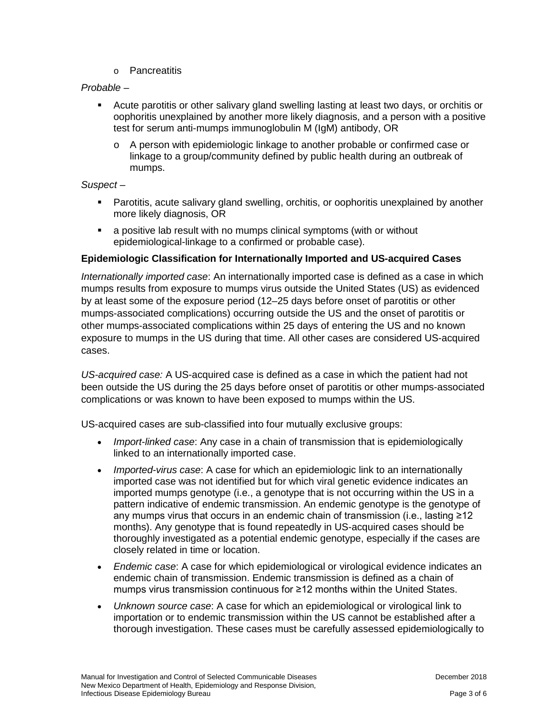o Pancreatitis

#### *Probable –*

- Acute parotitis or other salivary gland swelling lasting at least two days, or orchitis or oophoritis unexplained by another more likely diagnosis, and a person with a positive test for serum anti-mumps immunoglobulin M (IgM) antibody, OR
	- o A person with epidemiologic linkage to another probable or confirmed case or linkage to a group/community defined by public health during an outbreak of mumps.

#### *Suspect –*

- Parotitis, acute salivary gland swelling, orchitis, or oophoritis unexplained by another more likely diagnosis, OR
- a positive lab result with no mumps clinical symptoms (with or without epidemiological-linkage to a confirmed or probable case).

#### **Epidemiologic Classification for Internationally Imported and US-acquired Cases**

*Internationally imported case*: An internationally imported case is defined as a case in which mumps results from exposure to mumps virus outside the United States (US) as evidenced by at least some of the exposure period (12–25 days before onset of parotitis or other mumps-associated complications) occurring outside the US and the onset of parotitis or other mumps-associated complications within 25 days of entering the US and no known exposure to mumps in the US during that time. All other cases are considered US-acquired cases.

*US-acquired case:* A US-acquired case is defined as a case in which the patient had not been outside the US during the 25 days before onset of parotitis or other mumps-associated complications or was known to have been exposed to mumps within the US.

US-acquired cases are sub-classified into four mutually exclusive groups:

- *Import-linked case*: Any case in a chain of transmission that is epidemiologically linked to an internationally imported case.
- *Imported-virus case*: A case for which an epidemiologic link to an internationally imported case was not identified but for which viral genetic evidence indicates an imported mumps genotype (i.e., a genotype that is not occurring within the US in a pattern indicative of endemic transmission. An endemic genotype is the genotype of any mumps virus that occurs in an endemic chain of transmission (i.e., lasting ≥12 months). Any genotype that is found repeatedly in US-acquired cases should be thoroughly investigated as a potential endemic genotype, especially if the cases are closely related in time or location.
- *Endemic case*: A case for which epidemiological or virological evidence indicates an endemic chain of transmission. Endemic transmission is defined as a chain of mumps virus transmission continuous for ≥12 months within the United States.
- *Unknown source case*: A case for which an epidemiological or virological link to importation or to endemic transmission within the US cannot be established after a thorough investigation. These cases must be carefully assessed epidemiologically to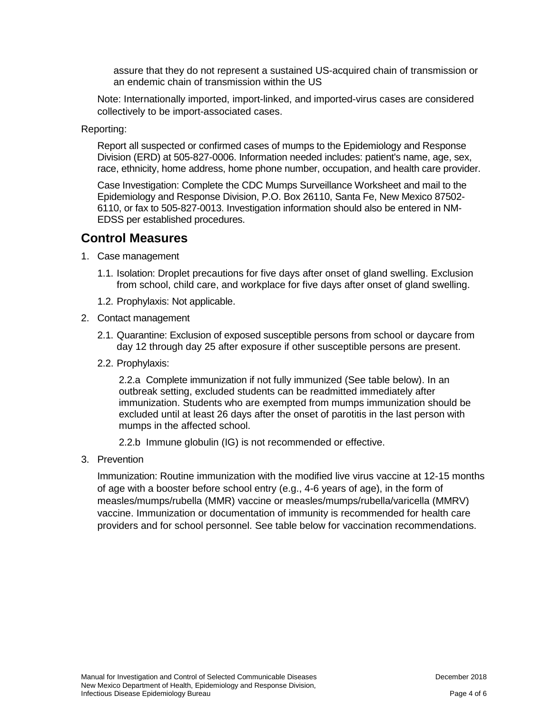assure that they do not represent a sustained US-acquired chain of transmission or an endemic chain of transmission within the US

Note: Internationally imported, import-linked, and imported-virus cases are considered collectively to be import-associated cases.

Reporting:

Report all suspected or confirmed cases of mumps to the Epidemiology and Response Division (ERD) at 505-827-0006. Information needed includes: patient's name, age, sex, race, ethnicity, home address, home phone number, occupation, and health care provider.

Case Investigation: Complete the CDC Mumps Surveillance Worksheet and mail to the Epidemiology and Response Division, P.O. Box 26110, Santa Fe, New Mexico 87502- 6110, or fax to 505-827-0013. Investigation information should also be entered in NM-EDSS per established procedures.

### **Control Measures**

- 1. Case management
	- 1.1. Isolation: Droplet precautions for five days after onset of gland swelling. Exclusion from school, child care, and workplace for five days after onset of gland swelling.
	- 1.2. Prophylaxis: Not applicable.
- 2. Contact management
	- 2.1. Quarantine: Exclusion of exposed susceptible persons from school or daycare from day 12 through day 25 after exposure if other susceptible persons are present.
	- 2.2. Prophylaxis:

2.2.a Complete immunization if not fully immunized (See table below). In an outbreak setting, excluded students can be readmitted immediately after immunization. Students who are exempted from mumps immunization should be excluded until at least 26 days after the onset of parotitis in the last person with mumps in the affected school.

2.2.b Immune globulin (IG) is not recommended or effective.

3. Prevention

Immunization: Routine immunization with the modified live virus vaccine at 12-15 months of age with a booster before school entry (e.g., 4-6 years of age), in the form of measles/mumps/rubella (MMR) vaccine or measles/mumps/rubella/varicella (MMRV) vaccine. Immunization or documentation of immunity is recommended for health care providers and for school personnel. See table below for vaccination recommendations.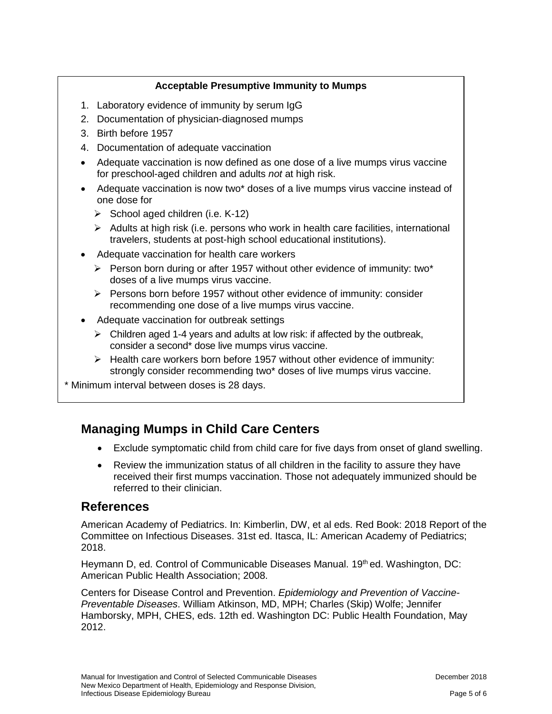### **Acceptable Presumptive Immunity to Mumps**

- 1. Laboratory evidence of immunity by serum IgG
- 2. Documentation of physician-diagnosed mumps
- 3. Birth before 1957
- 4. Documentation of adequate vaccination
- Adequate vaccination is now defined as one dose of a live mumps virus vaccine for preschool-aged children and adults *not* at high risk.
- Adequate vaccination is now two\* doses of a live mumps virus vaccine instead of one dose for
	- $\triangleright$  School aged children (i.e. K-12)
	- $\triangleright$  Adults at high risk (i.e. persons who work in health care facilities, international travelers, students at post-high school educational institutions).
- Adequate vaccination for health care workers
	- $\triangleright$  Person born during or after 1957 without other evidence of immunity: two\* doses of a live mumps virus vaccine.
	- $\triangleright$  Persons born before 1957 without other evidence of immunity: consider recommending one dose of a live mumps virus vaccine.
- Adequate vaccination for outbreak settings
	- $\triangleright$  Children aged 1-4 years and adults at low risk: if affected by the outbreak, consider a second\* dose live mumps virus vaccine.
	- $\triangleright$  Health care workers born before 1957 without other evidence of immunity: strongly consider recommending two\* doses of live mumps virus vaccine.

\* Minimum interval between doses is 28 days.

## **Managing Mumps in Child Care Centers**

- Exclude symptomatic child from child care for five days from onset of gland swelling.
- Review the immunization status of all children in the facility to assure they have received their first mumps vaccination. Those not adequately immunized should be referred to their clinician.

### **References**

American Academy of Pediatrics. In: Kimberlin, DW, et al eds. Red Book: 2018 Report of the Committee on Infectious Diseases. 31st ed. Itasca, IL: American Academy of Pediatrics; 2018.

Heymann D, ed. Control of Communicable Diseases Manual. 19<sup>th</sup> ed. Washington, DC: American Public Health Association; 2008.

Centers for Disease Control and Prevention. *Epidemiology and Prevention of Vaccine-Preventable Diseases*. William Atkinson, MD, MPH; Charles (Skip) Wolfe; Jennifer Hamborsky, MPH, CHES, eds. 12th ed. Washington DC: Public Health Foundation, May 2012.